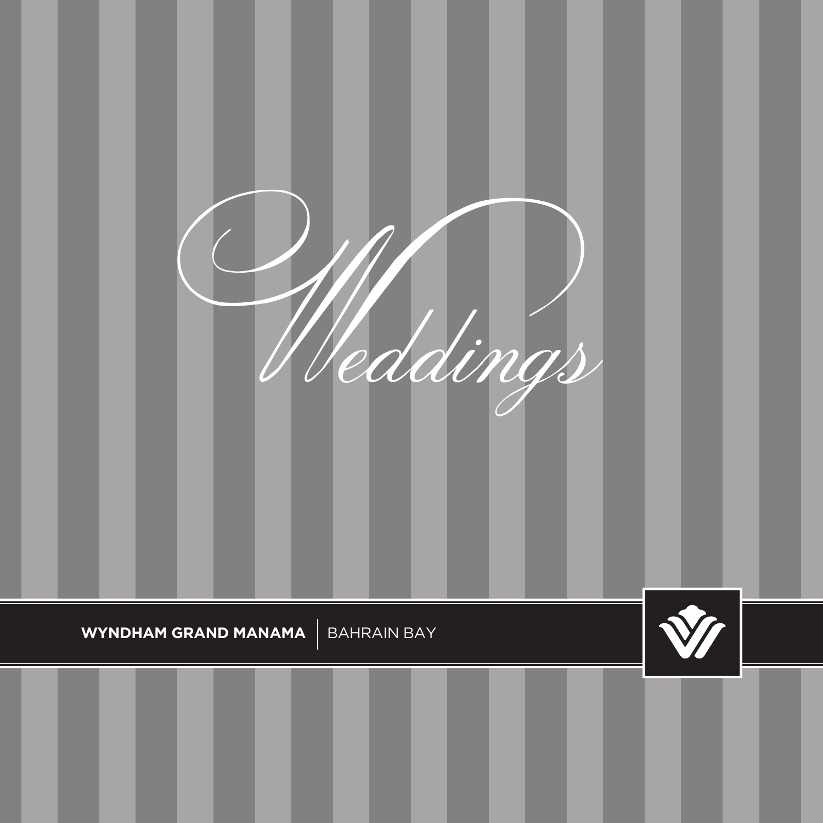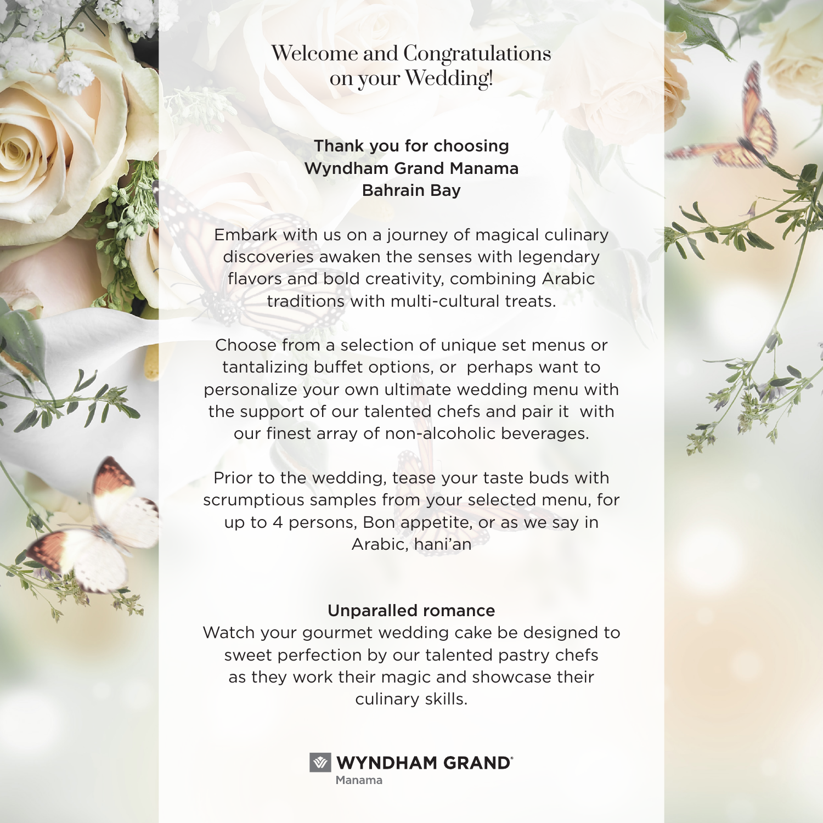Welcome and Congratulations on your Wedding!

### Thank you for choosing Wyndham Grand Manama Bahrain Bay

Embark with us on a journey of magical culinary discoveries awaken the senses with legendary flavors and bold creativity, combining Arabic traditions with multi-cultural treats.

Choose from a selection of unique set menus or tantalizing buffet options, or perhaps want to personalize your own ultimate wedding menu with the support of our talented chefs and pair it with our finest array of non-alcoholic beverages.

Prior to the wedding, tease your taste buds with scrumptious samples from your selected menu, for up to 4 persons, Bon appetite, or as we say in Arabic, hani'an

### Unparalled romance

Watch your gourmet wedding cake be designed to sweet perfection by our talented pastry chefs as they work their magic and showcase their culinary skills.

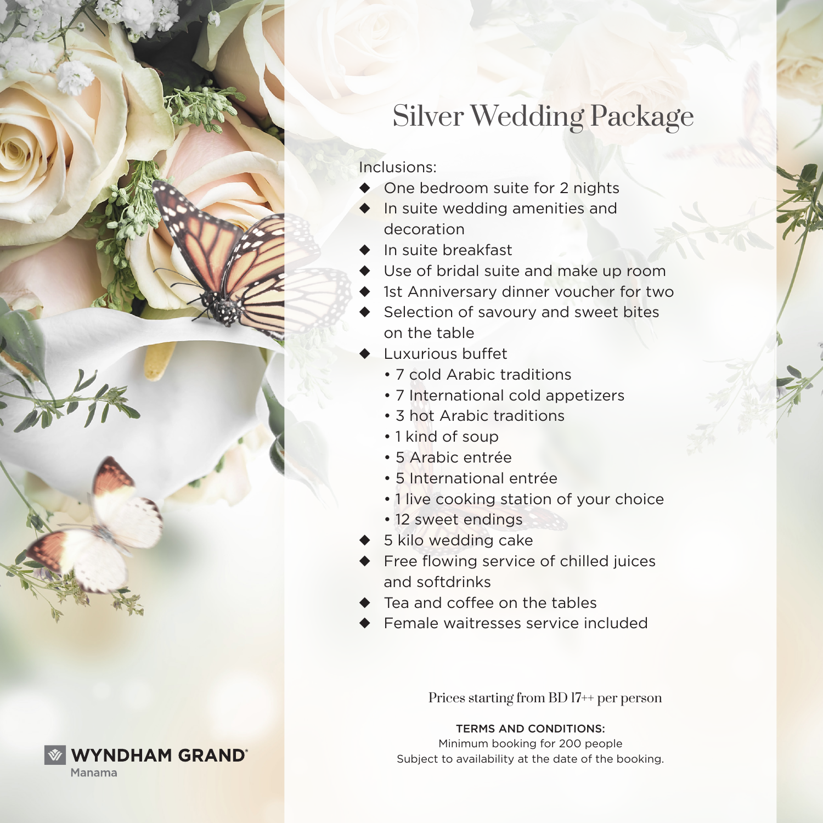

Inclusions:

- ◆ One bedroom suite for 2 nights
- ◆ In suite wedding amenities and decoration
- ◆ In suite breakfast
- ◆ Use of bridal suite and make up room
- ◆ 1st Anniversary dinner voucher for two
- ◆ Selection of savoury and sweet bites on the table
- ◆ Luxurious buffet
	- 7 cold Arabic traditions
	- 7 International cold appetizers
	- 3 hot Arabic traditions
	- 1 kind of soup
	- 5 Arabic entrée
	- 5 International entrée
	- 1 live cooking station of your choice
	- 12 sweet endings
- ◆ 5 kilo wedding cake
- ◆ Free flowing service of chilled juices and softdrinks
- ◆ Tea and coffee on the tables
- Female waitresses service included

Prices starting from BD 17++ per person

#### TERMS AND CONDITIONS:

Minimum booking for 200 people Subject to availability at the date of the booking.

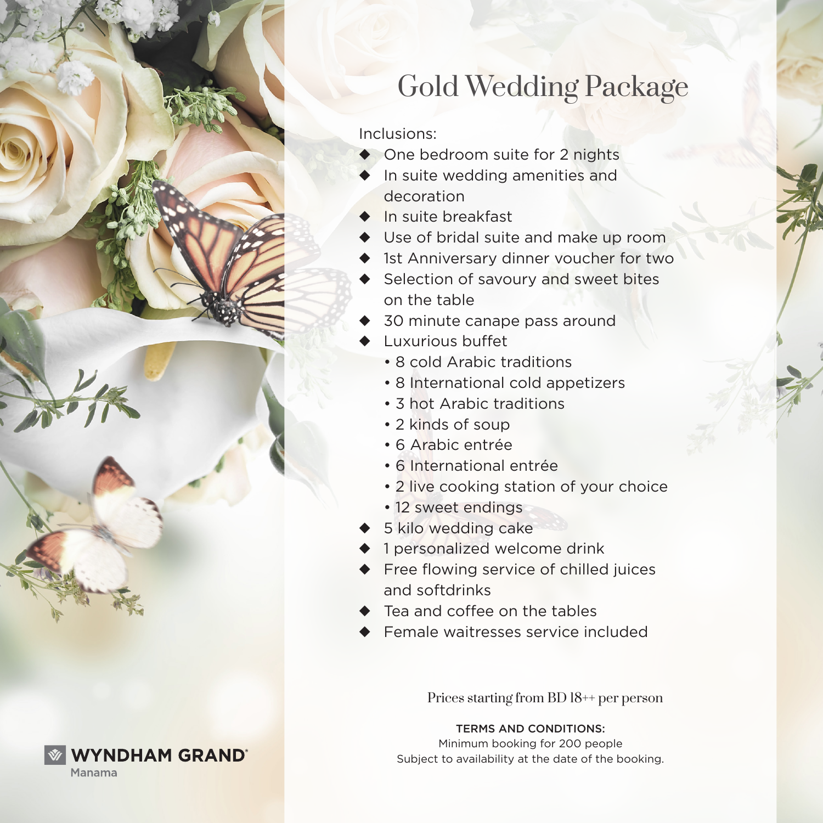

# Gold Wedding Package

Inclusions:

- ◆ One bedroom suite for 2 nights
- In suite wedding amenities and decoration
- ◆ In suite breakfast
- ◆ Use of bridal suite and make up room
- ◆ 1st Anniversary dinner voucher for two
- Selection of savoury and sweet bites on the table
- 30 minute canape pass around
- **Luxurious buffet** 
	- 8 cold Arabic traditions
	- 8 International cold appetizers
	- 3 hot Arabic traditions
	- 2 kinds of soup
	- 6 Arabic entrée
	- 6 International entrée
	- 2 live cooking station of your choice
	- 12 sweet endings
- ◆ 5 kilo wedding cake
- ◆ 1 personalized welcome drink
- ◆ Free flowing service of chilled juices and softdrinks
- ◆ Tea and coffee on the tables
- Female waitresses service included

Prices starting from BD 18++ per person

#### TERMS AND CONDITIONS:

Minimum booking for 200 people Subject to availability at the date of the booking.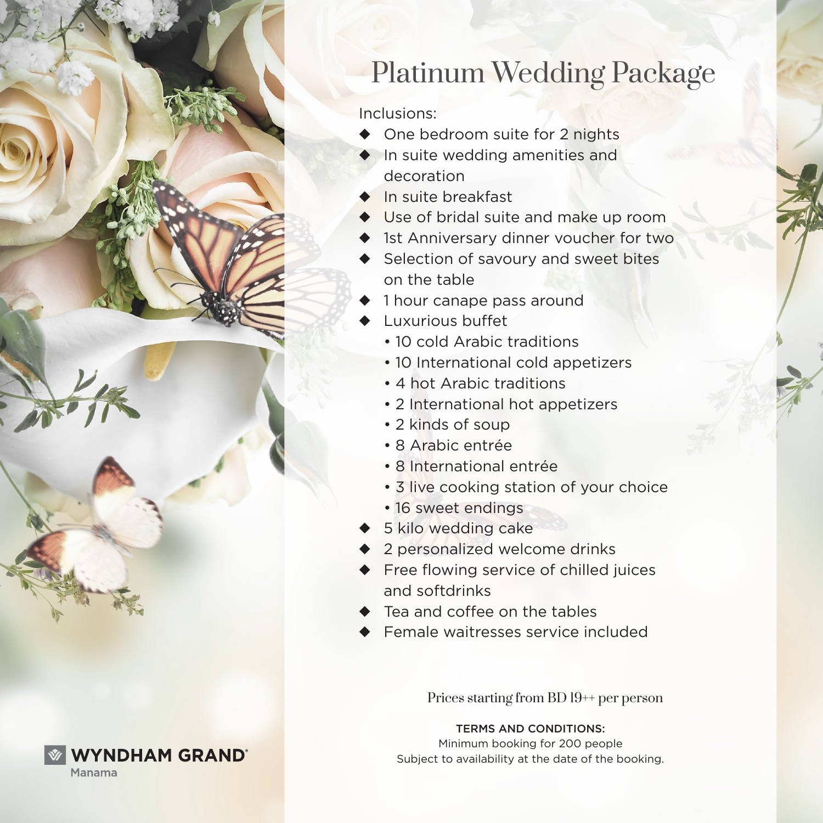

# Platinum Wedding Package

Inclusions:

- One bedroom suite for 2 nights
- In suite wedding amenities and decoration
- ◆ In suite breakfast
- ◆ Use of bridal suite and make up room
- ◆ 1st Anniversary dinner voucher for two
- ◆ Selection of savoury and sweet bites on the table
- 1 hour canape pass around
- Luxurious buffet
	- 10 cold Arabic traditions
	- 10 International cold appetizers
	- 4 hot Arabic traditions
	- 2 International hot appetizers
	- 2 kinds of soup
	- 8 Arabic entrée
	- 8 International entrée
	- 3 live cooking station of your choice
	- 16 sweet endings
- ◆ 5 kilo wedding cake
- ◆ 2 personalized welcome drinks
- ◆ Free flowing service of chilled juices and softdrinks
- ◆ Tea and coffee on the tables
- Female waitresses service included

Prices starting from BD 19++ per person

#### TERMS AND CONDITIONS:

Minimum booking for 200 people Subject to availability at the date of the booking.